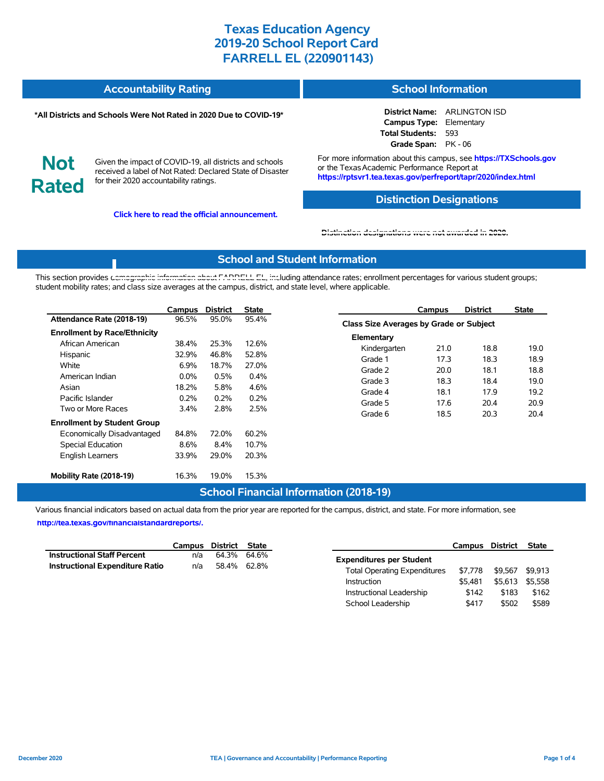### **Accountability Rating School Information**

#### **\*All Districts and Schools Were Not Rated in 2020 Due to COVID-19\***

**District Name:** ARLINGTON ISD **Campus Type:** Elementary **Total Students:** 593 **Grade Span:** PK - 06

**Not Rated**

Given the impact of COVID-19, all districts and schools received a label of Not Rated: Declared State of Disaster for their 2020 accountability ratings.

**Click here to read the official announcement.**

For more information about this campus, see **https://TXSchools.gov** or the Texas Academic Performance Report at **https://rptsvr1.tea.texas.gov/perfreport/tapr/2020/index.html**

### **Distinction Designations**

Instructional Leadership  $$142$  \$183 \$162 School Leadership  $$417$  \$502 \$589

#### **[Distinction designations were not awarded in 2020.](https://rptsvr1.tea.texas.gov/perfreport/tapr/2020/index.html)**

#### **School and Student Information**

This section provides [demographic information about FARRELL EL, inc](https://tea.texas.gov/about-tea/news-and-multimedia/correspondence/taa-letters/every-student-succeeds-act-essa-waiver-approval-2020-state-academic-accountability)luding attendance rates; enrollment percentages for various student groups; student mobility rates; and class size averages at the campus, district, and state level, where applicable.

|                                                                                                                              | Campus                                             | <b>District</b>                                 | <b>State</b>                                    |                                                                        | Campus                                  | <b>District</b>                      | <b>State</b>                         |
|------------------------------------------------------------------------------------------------------------------------------|----------------------------------------------------|-------------------------------------------------|-------------------------------------------------|------------------------------------------------------------------------|-----------------------------------------|--------------------------------------|--------------------------------------|
| Attendance Rate (2018-19)                                                                                                    | 96.5%                                              | 95.0%                                           | 95.4%                                           |                                                                        | Class Size Averages by Grade or Subject |                                      |                                      |
| <b>Enrollment by Race/Ethnicity</b><br>African American<br>Hispanic<br>White<br>American Indian<br>Asian<br>Pacific Islander | 38.4%<br>32.9%<br>6.9%<br>$0.0\%$<br>18.2%<br>0.2% | 25.3%<br>46.8%<br>18.7%<br>0.5%<br>5.8%<br>0.2% | 12.6%<br>52.8%<br>27.0%<br>0.4%<br>4.6%<br>0.2% | Elementary<br>Kindergarten<br>Grade 1<br>Grade 2<br>Grade 3<br>Grade 4 | 21.0<br>17.3<br>20.0<br>18.3<br>18.1    | 18.8<br>18.3<br>18.1<br>18.4<br>17.9 | 19.0<br>18.9<br>18.8<br>19.0<br>19.2 |
| Two or More Races<br><b>Enrollment by Student Group</b>                                                                      | 3.4%                                               | 2.8%                                            | 2.5%                                            | Grade 5<br>Grade 6                                                     | 17.6<br>18.5                            | 20.4<br>20.3                         | 20.9<br>20.4                         |
| Economically Disadvantaged<br>Special Education<br><b>English Learners</b>                                                   | 84.8%<br>8.6%<br>33.9%                             | 72.0%<br>8.4%<br>29.0%                          | 60.2%<br>10.7%<br>20.3%                         |                                                                        |                                         |                                      |                                      |
| Mobility Rate (2018-19)                                                                                                      | 16.3%                                              | 19.0%                                           | 15.3%                                           |                                                                        |                                         |                                      |                                      |

#### **School Financial Information (2018-19)**

Various financial indicators based on actual data from the prior year are reported for the campus, district, and state. For more information, see

**[http://tea.texas.gov/financialstandardreports/.](http://tea.texas.gov/financialstandardreports/)**

|                                        |     | Campus District State |                                                | <b>Campus District</b> | State   |
|----------------------------------------|-----|-----------------------|------------------------------------------------|------------------------|---------|
| <b>Instructional Staff Percent</b>     | n/a | 64.3% 64.6%           | <b>Expenditures per Student</b>                |                        |         |
| <b>Instructional Expenditure Ratio</b> | n/a | 58.4% 62.8%           | \$7.778<br><b>Total Operating Expenditures</b> | \$9,567 \$9,913        |         |
|                                        |     |                       | \$5.481<br>Instruction                         | \$5,613                | \$5,558 |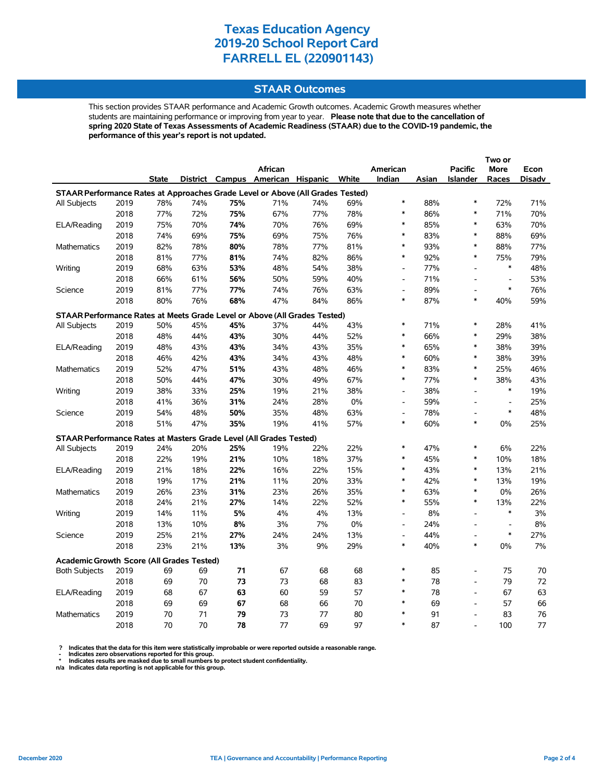#### **STAAR Outcomes**

This section provides STAAR performance and Academic Growth outcomes. Academic Growth measures whether students are maintaining performance or improving from year to year. **Please note that due to the cancellation of spring 2020 State of Texas Assessments of Academic Readiness (STAAR) due to the COVID-19 pandemic, the performance of this year's report is not updated.**

|                                                                                   |      |              |     |     | African                           |     |       | American                           |       | <b>Pacific</b>           | <b>More</b>                        | Econ      |
|-----------------------------------------------------------------------------------|------|--------------|-----|-----|-----------------------------------|-----|-------|------------------------------------|-------|--------------------------|------------------------------------|-----------|
|                                                                                   |      | <b>State</b> |     |     | District Campus American Hispanic |     | White | Indian                             | Asian | <b>Islander</b>          | Races                              | Disadv    |
| STAAR Performance Rates at Approaches Grade Level or Above (All Grades Tested)    |      |              |     |     |                                   |     |       |                                    |       |                          |                                    |           |
| All Subjects                                                                      | 2019 | 78%          | 74% | 75% | 71%                               | 74% | 69%   | $\ast$                             | 88%   | $\ast$                   | 72%                                | 71%       |
|                                                                                   | 2018 | 77%          | 72% | 75% | 67%                               | 77% | 78%   | $\ast$                             | 86%   | *                        | 71%                                | 70%       |
| ELA/Reading                                                                       | 2019 | 75%          | 70% | 74% | 70%                               | 76% | 69%   | $\ast$                             | 85%   | *                        | 63%                                | 70%       |
|                                                                                   | 2018 | 74%          | 69% | 75% | 69%                               | 75% | 76%   | $\ast$                             | 83%   | $\ast$                   | 88%                                | 69%       |
| <b>Mathematics</b>                                                                | 2019 | 82%          | 78% | 80% | 78%                               | 77% | 81%   | $\ast$                             | 93%   | $\ast$                   | 88%                                | 77%       |
|                                                                                   | 2018 | 81%          | 77% | 81% | 74%                               | 82% | 86%   | $\ast$                             | 92%   | $\ast$                   | 75%                                | 79%       |
| Writing                                                                           | 2019 | 68%          | 63% | 53% | 48%                               | 54% | 38%   | $\overline{\phantom{a}}$           | 77%   | $\overline{a}$           | $\ast$                             | 48%       |
|                                                                                   | 2018 | 66%          | 61% | 56% | 50%                               | 59% | 40%   | $\overline{\phantom{a}}$           | 71%   | $\overline{a}$           | $\overline{\phantom{a}}$           | 53%       |
| Science                                                                           | 2019 | 81%          | 77% | 77% | 74%                               | 76% | 63%   | $\overline{\phantom{a}}$           | 89%   | $\overline{a}$           | $\ast$                             | 76%       |
|                                                                                   | 2018 | 80%          | 76% | 68% | 47%                               | 84% | 86%   | $\ast$                             | 87%   | *                        | 40%                                | 59%       |
| STAAR Performance Rates at Meets Grade Level or Above (All Grades Tested)         |      |              |     |     |                                   |     |       |                                    |       |                          |                                    |           |
| All Subjects                                                                      | 2019 | 50%          | 45% | 45% | 37%                               | 44% | 43%   | $\ast$                             | 71%   | $\ast$                   | 28%                                | 41%       |
|                                                                                   | 2018 | 48%          | 44% | 43% | 30%                               | 44% | 52%   | $\ast$                             | 66%   | $\ast$                   | 29%                                | 38%       |
| ELA/Reading                                                                       | 2019 | 48%          | 43% | 43% | 34%                               | 43% | 35%   | $\ast$                             | 65%   | $\ast$                   | 38%                                | 39%       |
|                                                                                   | 2018 | 46%          | 42% | 43% | 34%                               | 43% | 48%   | $\ast$                             | 60%   | *                        | 38%                                | 39%       |
| Mathematics                                                                       | 2019 | 52%          | 47% | 51% | 43%                               | 48% | 46%   | $\ast$                             | 83%   | $\ast$                   | 25%                                | 46%       |
|                                                                                   | 2018 | 50%          | 44% | 47% | 30%                               | 49% | 67%   | $\ast$                             | 77%   | $\ast$                   | 38%                                | 43%       |
| Writing                                                                           | 2019 | 38%          | 33% | 25% | 19%                               | 21% | 38%   | $\overline{\phantom{a}}$           | 38%   | $\overline{a}$           | $\ast$                             | 19%       |
|                                                                                   | 2018 | 41%          | 36% | 31% | 24%                               | 28% | 0%    | $\overline{\phantom{a}}$           | 59%   | $\overline{\phantom{a}}$ | $\overline{\phantom{a}}$           | 25%       |
| Science                                                                           | 2019 | 54%          | 48% | 50% | 35%                               | 48% | 63%   | $\overline{\phantom{a}}$           | 78%   | $\overline{a}$           | $\ast$                             | 48%       |
|                                                                                   | 2018 | 51%          | 47% | 35% | 19%                               | 41% | 57%   | $\ast$                             | 60%   | *                        | 0%                                 | 25%       |
|                                                                                   |      |              |     |     |                                   |     |       |                                    |       |                          |                                    |           |
| STAAR Performance Rates at Masters Grade Level (All Grades Tested)<br>*<br>$\ast$ |      |              |     |     |                                   |     |       |                                    |       |                          |                                    |           |
| All Subjects                                                                      | 2019 | 24%          | 20% | 25% | 19%                               | 22% | 22%   | $\ast$                             | 47%   | *                        | 6%                                 | 22%       |
|                                                                                   | 2018 | 22%          | 19% | 21% | 10%                               | 18% | 37%   | $\ast$                             | 45%   | $\ast$                   | 10%                                | 18%       |
| ELA/Reading                                                                       | 2019 | 21%          | 18% | 22% | 16%                               | 22% | 15%   | $\ast$                             | 43%   | *                        | 13%                                | 21%       |
|                                                                                   | 2018 | 19%          | 17% | 21% | 11%                               | 20% | 33%   | $\ast$                             | 42%   | $\ast$                   | 13%                                | 19%       |
| <b>Mathematics</b>                                                                | 2019 | 26%          | 23% | 31% | 23%                               | 26% | 35%   | $\ast$                             | 63%   | *                        | 0%                                 | 26%       |
|                                                                                   | 2018 | 24%          | 21% | 27% | 14%                               | 22% | 52%   |                                    | 55%   |                          | 13%<br>$\ast$                      | 22%<br>3% |
| Writing                                                                           | 2019 | 14%          | 11% | 5%  | 4%                                | 4%  | 13%   | $\overline{\phantom{a}}$           | 8%    | $\overline{a}$           |                                    |           |
|                                                                                   | 2018 | 13%          | 10% | 8%  | 3%                                | 7%  | 0%    | $\overline{\phantom{a}}$           | 24%   | $\overline{a}$           | $\overline{\phantom{a}}$<br>$\ast$ | $8\%$     |
| Science                                                                           | 2019 | 25%          | 21% | 27% | 24%                               | 24% | 13%   | $\overline{\phantom{a}}$<br>$\ast$ | 44%   | $\overline{a}$<br>*      |                                    | 27%       |
|                                                                                   | 2018 | 23%          | 21% | 13% | 3%                                | 9%  | 29%   |                                    | 40%   |                          | 0%                                 | 7%        |
| <b>Academic Growth Score (All Grades Tested)</b>                                  |      |              |     |     |                                   |     |       |                                    |       |                          |                                    |           |
| <b>Both Subjects</b>                                                              | 2019 | 69           | 69  | 71  | 67                                | 68  | 68    | $\ast$                             | 85    | $\overline{a}$           | 75                                 | 70        |
|                                                                                   | 2018 | 69           | 70  | 73  | 73                                | 68  | 83    | $\ast$                             | 78    | $\overline{a}$           | 79                                 | 72        |
| ELA/Reading                                                                       | 2019 | 68           | 67  | 63  | 60                                | 59  | 57    | $\ast$                             | 78    | ÷.                       | 67                                 | 63        |
|                                                                                   | 2018 | 69           | 69  | 67  | 68                                | 66  | 70    | $\ast$                             | 69    | $\overline{a}$           | 57                                 | 66        |
| <b>Mathematics</b>                                                                | 2019 | 70           | 71  | 79  | 73                                | 77  | 80    | $\ast$                             | 91    | L,                       | 83                                 | 76        |
|                                                                                   | 2018 | 70           | 70  | 78  | 77                                | 69  | 97    | $\ast$                             | 87    | L,                       | 100                                | 77        |

? Indicates that the data for this item were statistically improbable or were reported outside a reasonable range.<br>- Indicates zero observations reported for this group.<br>\* Indicates results are masked due to small numbers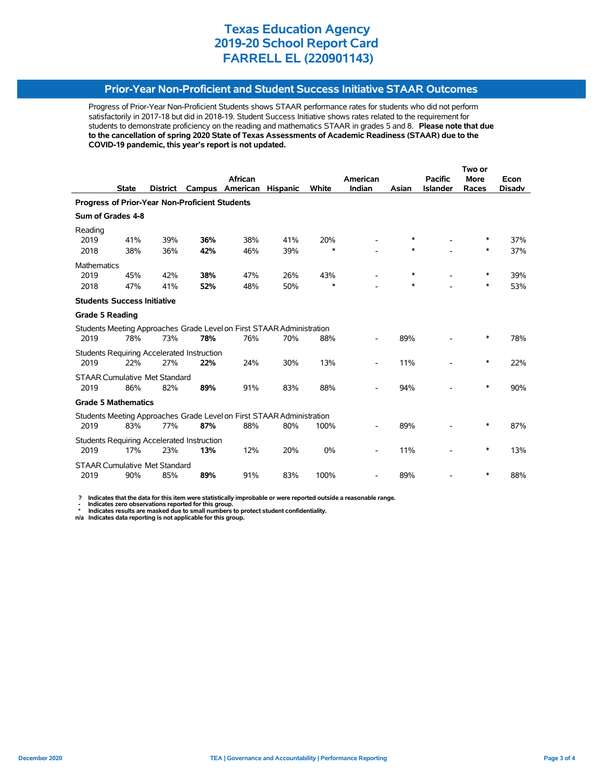#### **Prior-Year Non-Proficient and Student Success Initiative STAAR Outcomes**

Progress of Prior-Year Non-Proficient Students shows STAAR performance rates for students who did not perform satisfactorily in 2017-18 but did in 2018-19. Student Success Initiative shows rates related to the requirement for students to demonstrate proficiency on the reading and mathematics STAAR in grades 5 and 8. **Please note that due to the cancellation of spring 2020 State of Texas Assessments of Academic Readiness (STAAR) due to the COVID-19 pandemic, this year's report is not updated.**

|                                                |              |                 |                                                   | African                                                               |                 |              | American |        | <b>Pacific</b>  | <b>More</b> | Econ          |  |
|------------------------------------------------|--------------|-----------------|---------------------------------------------------|-----------------------------------------------------------------------|-----------------|--------------|----------|--------|-----------------|-------------|---------------|--|
|                                                | <b>State</b> | <b>District</b> | Campus                                            | American                                                              | <b>Hispanic</b> | <b>White</b> | Indian   | Asian  | <b>Islander</b> | Races       | <b>Disadv</b> |  |
| Progress of Prior-Year Non-Proficient Students |              |                 |                                                   |                                                                       |                 |              |          |        |                 |             |               |  |
| Sum of Grades 4-8                              |              |                 |                                                   |                                                                       |                 |              |          |        |                 |             |               |  |
| Reading                                        |              |                 |                                                   |                                                                       |                 |              |          |        |                 |             |               |  |
| 2019                                           | 41%          | 39%             | 36%                                               | 38%                                                                   | 41%             | 20%          |          | *      |                 | ∗           | 37%           |  |
| 2018                                           | 38%          | 36%             | 42%                                               | 46%                                                                   | 39%             | $\ast$       |          | $\ast$ |                 | $\ast$      | 37%           |  |
| Mathematics                                    |              |                 |                                                   |                                                                       |                 |              |          |        |                 |             |               |  |
| 2019                                           | 45%          | 42%             | 38%                                               | 47%                                                                   | 26%             | 43%          |          | $\ast$ |                 | $\ast$      | 39%           |  |
| 2018                                           | 47%          | 41%             | 52%                                               | 48%                                                                   | 50%             | $\ast$       |          | $\ast$ |                 | $\ast$      | 53%           |  |
| <b>Students Success Initiative</b>             |              |                 |                                                   |                                                                       |                 |              |          |        |                 |             |               |  |
| <b>Grade 5 Reading</b>                         |              |                 |                                                   |                                                                       |                 |              |          |        |                 |             |               |  |
|                                                |              |                 |                                                   | Students Meeting Approaches Grade Level on First STAAR Administration |                 |              |          |        |                 |             |               |  |
| 2019                                           | 78%          | 73%             | 78%                                               | 76%                                                                   | 70%             | 88%          |          | 89%    |                 | $\ast$      | 78%           |  |
|                                                |              |                 | <b>Students Requiring Accelerated Instruction</b> |                                                                       |                 |              |          |        |                 |             |               |  |
| 2019                                           | 22%          | 27%             | 22%                                               | 24%                                                                   | 30%             | 13%          |          | 11%    |                 | ∗           | 22%           |  |
| <b>STAAR Cumulative Met Standard</b>           |              |                 |                                                   |                                                                       |                 |              |          |        |                 |             |               |  |
| 2019                                           | 86%          | 82%             | 89%                                               | 91%                                                                   | 83%             | 88%          |          | 94%    |                 | *           | 90%           |  |
| <b>Grade 5 Mathematics</b>                     |              |                 |                                                   |                                                                       |                 |              |          |        |                 |             |               |  |
|                                                |              |                 |                                                   | Students Meeting Approaches Grade Level on First STAAR Administration |                 |              |          |        |                 |             |               |  |
| 2019                                           | 83%          | 77%             | 87%                                               | 88%                                                                   | 80%             | 100%         |          | 89%    |                 | *           | 87%           |  |
|                                                |              |                 | <b>Students Requiring Accelerated Instruction</b> |                                                                       |                 |              |          |        |                 |             |               |  |
| 2019                                           | 17%          | 23%             | 13%                                               | 12%                                                                   | 20%             | 0%           |          | 11%    |                 | ∗           | 13%           |  |
| <b>STAAR Cumulative Met Standard</b>           |              |                 |                                                   |                                                                       |                 |              |          |        |                 |             |               |  |
| 2019                                           | 90%          | 85%             | 89%                                               | 91%                                                                   | 83%             | 100%         |          | 89%    |                 | ∗           | 88%           |  |

 **? Indicates that the data for this item were statistically improbable or were reported outside a reasonable range.**

 **- Indicates zero observations reported for this group. \* Indicates results are masked due to small numbers to protect student confidentiality.**

**n/a Indicates data reporting is not applicable for this group.**